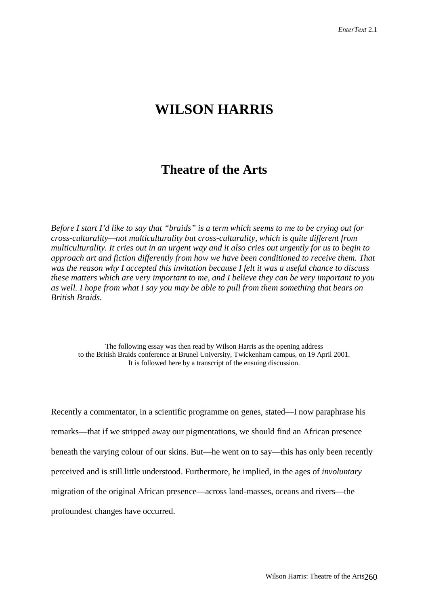## **WILSON HARRIS**

## **Theatre of the Arts**

*Before I start I'd like to say that "braids" is a term which seems to me to be crying out for cross-culturality—not multiculturality but cross-culturality, which is quite different from multiculturality. It cries out in an urgent way and it also cries out urgently for us to begin to approach art and fiction differently from how we have been conditioned to receive them. That was the reason why I accepted this invitation because I felt it was a useful chance to discuss these matters which are very important to me, and I believe they can be very important to you as well. I hope from what I say you may be able to pull from them something that bears on British Braids.*

The following essay was then read by Wilson Harris as the opening address to the British Braids conference at Brunel University, Twickenham campus, on 19 April 2001. It is followed here by a transcript of the ensuing discussion.

Recently a commentator, in a scientific programme on genes, stated—I now paraphrase his remarks—that if we stripped away our pigmentations, we should find an African presence beneath the varying colour of our skins. But—he went on to say—this has only been recently perceived and is still little understood. Furthermore, he implied, in the ages of *involuntary* migration of the original African presence—across land-masses, oceans and rivers—the profoundest changes have occurred.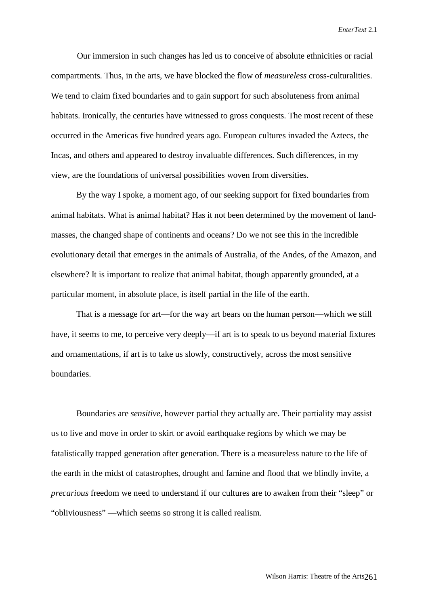Our immersion in such changes has led us to conceive of absolute ethnicities or racial compartments. Thus, in the arts, we have blocked the flow of *measureless* cross-culturalities. We tend to claim fixed boundaries and to gain support for such absoluteness from animal habitats. Ironically, the centuries have witnessed to gross conquests. The most recent of these occurred in the Americas five hundred years ago. European cultures invaded the Aztecs, the Incas, and others and appeared to destroy invaluable differences. Such differences, in my view, are the foundations of universal possibilities woven from diversities.

By the way I spoke, a moment ago, of our seeking support for fixed boundaries from animal habitats. What is animal habitat? Has it not been determined by the movement of landmasses, the changed shape of continents and oceans? Do we not see this in the incredible evolutionary detail that emerges in the animals of Australia, of the Andes, of the Amazon, and elsewhere? It is important to realize that animal habitat, though apparently grounded, at a particular moment, in absolute place, is itself partial in the life of the earth.

That is a message for art—for the way art bears on the human person—which we still have, it seems to me, to perceive very deeply—if art is to speak to us beyond material fixtures and ornamentations, if art is to take us slowly, constructively, across the most sensitive boundaries.

Boundaries are *sensitive*, however partial they actually are. Their partiality may assist us to live and move in order to skirt or avoid earthquake regions by which we may be fatalistically trapped generation after generation. There is a measureless nature to the life of the earth in the midst of catastrophes, drought and famine and flood that we blindly invite, a *precarious* freedom we need to understand if our cultures are to awaken from their "sleep" or "obliviousness" —which seems so strong it is called realism.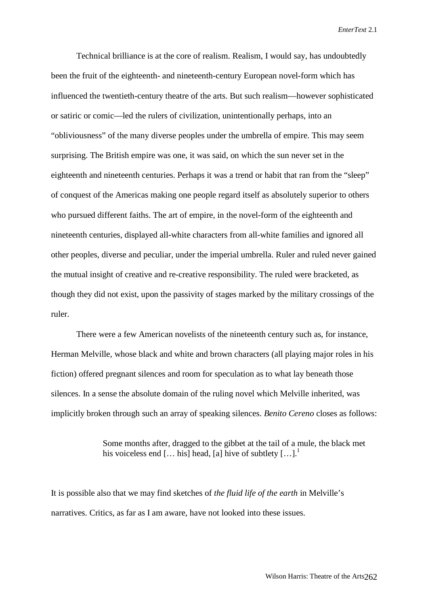Technical brilliance is at the core of realism. Realism, I would say, has undoubtedly been the fruit of the eighteenth- and nineteenth-century European novel-form which has influenced the twentieth-century theatre of the arts. But such realism—however sophisticated or satiric or comic—led the rulers of civilization, unintentionally perhaps, into an "obliviousness" of the many diverse peoples under the umbrella of empire. This may seem surprising. The British empire was one, it was said, on which the sun never set in the eighteenth and nineteenth centuries. Perhaps it was a trend or habit that ran from the "sleep" of conquest of the Americas making one people regard itself as absolutely superior to others who pursued different faiths. The art of empire, in the novel-form of the eighteenth and nineteenth centuries, displayed all-white characters from all-white families and ignored all other peoples, diverse and peculiar, under the imperial umbrella. Ruler and ruled never gained the mutual insight of creative and re-creative responsibility. The ruled were bracketed, as though they did not exist, upon the passivity of stages marked by the military crossings of the ruler.

There were a few American novelists of the nineteenth century such as, for instance, Herman Melville, whose black and white and brown characters (all playing major roles in his fiction) offered pregnant silences and room for speculation as to what lay beneath those silences. In a sense the absolute domain of the ruling novel which Melville inherited, was implicitly broken through such an array of speaking silences. *Benito Cereno* closes as follows:

> Some months after, dragged to the gibbet at the tail of a mule, the black met his voiceless end  $[...$  his] head, [a] hive of subtlety  $[...]$ .<sup>1</sup>

It is possible also that we may find sketches of *the fluid life of the earth* in Melville's narratives. Critics, as far as I am aware, have not looked into these issues.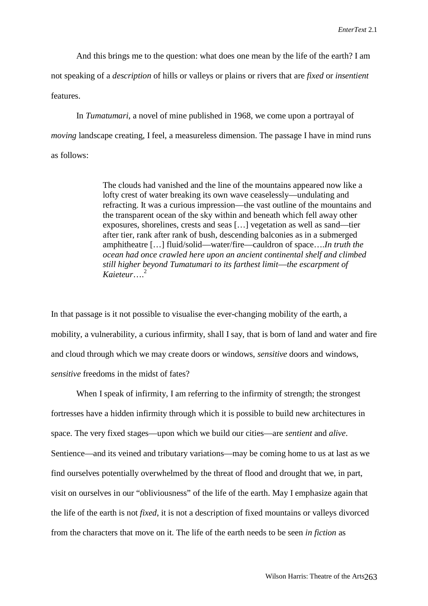And this brings me to the question: what does one mean by the life of the earth? I am not speaking of a *description* of hills or valleys or plains or rivers that are *fixed* or *insentient* features.

In *Tumatumari*, a novel of mine published in 1968, we come upon a portrayal of *moving* landscape creating, I feel, a measureless dimension. The passage I have in mind runs as follows:

> The clouds had vanished and the line of the mountains appeared now like a lofty crest of water breaking its own wave ceaselessly—undulating and refracting. It was a curious impression—the vast outline of the mountains and the transparent ocean of the sky within and beneath which fell away other exposures, shorelines, crests and seas […] vegetation as well as sand—tier after tier, rank after rank of bush, descending balconies as in a submerged amphitheatre […] fluid/solid—water/fire—cauldron of space….*In truth the ocean had once crawled here upon an ancient continental shelf and climbed still higher beyond Tumatumari to its farthest limit*—*the escarpment of Kaieteur*….2

In that passage is it not possible to visualise the ever-changing mobility of the earth, a mobility, a vulnerability, a curious infirmity, shall I say, that is born of land and water and fire and cloud through which we may create doors or windows, *sensitive* doors and windows, *sensitive* freedoms in the midst of fates?

When I speak of infirmity, I am referring to the infirmity of strength; the strongest fortresses have a hidden infirmity through which it is possible to build new architectures in space. The very fixed stages—upon which we build our cities—are *sentient* and *alive*. Sentience—and its veined and tributary variations—may be coming home to us at last as we find ourselves potentially overwhelmed by the threat of flood and drought that we, in part, visit on ourselves in our "obliviousness" of the life of the earth. May I emphasize again that the life of the earth is not *fixed*, it is not a description of fixed mountains or valleys divorced from the characters that move on it. The life of the earth needs to be seen *in fiction* as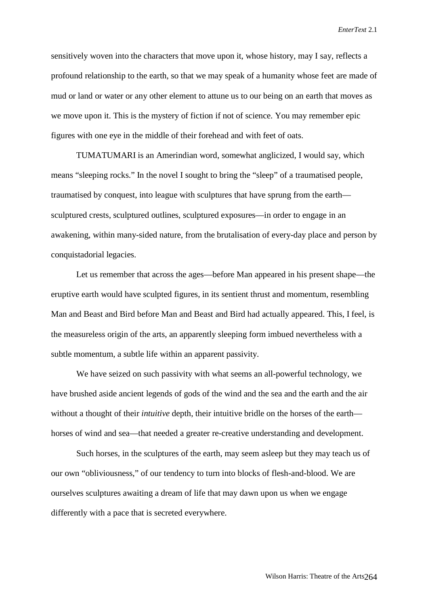sensitively woven into the characters that move upon it, whose history, may I say, reflects a profound relationship to the earth, so that we may speak of a humanity whose feet are made of mud or land or water or any other element to attune us to our being on an earth that moves as we move upon it. This is the mystery of fiction if not of science. You may remember epic figures with one eye in the middle of their forehead and with feet of oats.

TUMATUMARI is an Amerindian word, somewhat anglicized, I would say, which means "sleeping rocks." In the novel I sought to bring the "sleep" of a traumatised people, traumatised by conquest, into league with sculptures that have sprung from the earth sculptured crests, sculptured outlines, sculptured exposures—in order to engage in an awakening, within many-sided nature, from the brutalisation of every-day place and person by conquistadorial legacies.

Let us remember that across the ages—before Man appeared in his present shape—the eruptive earth would have sculpted figures, in its sentient thrust and momentum, resembling Man and Beast and Bird before Man and Beast and Bird had actually appeared. This, I feel, is the measureless origin of the arts, an apparently sleeping form imbued nevertheless with a subtle momentum, a subtle life within an apparent passivity.

We have seized on such passivity with what seems an all-powerful technology, we have brushed aside ancient legends of gods of the wind and the sea and the earth and the air without a thought of their *intuitive* depth, their intuitive bridle on the horses of the earth horses of wind and sea—that needed a greater re-creative understanding and development.

Such horses, in the sculptures of the earth, may seem asleep but they may teach us of our own "obliviousness," of our tendency to turn into blocks of flesh-and-blood. We are ourselves sculptures awaiting a dream of life that may dawn upon us when we engage differently with a pace that is secreted everywhere.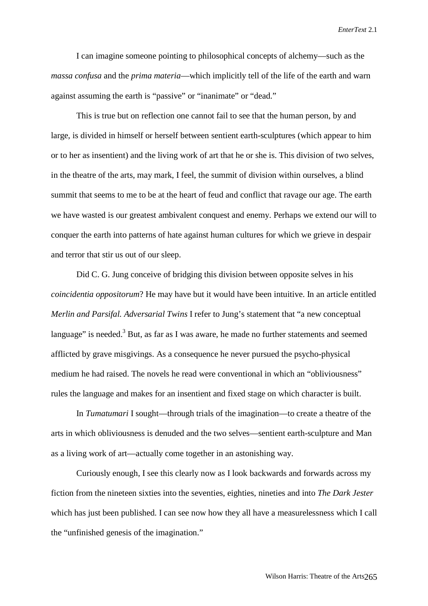I can imagine someone pointing to philosophical concepts of alchemy—such as the *massa confusa* and the *prima materia*—which implicitly tell of the life of the earth and warn against assuming the earth is "passive" or "inanimate" or "dead."

This is true but on reflection one cannot fail to see that the human person, by and large, is divided in himself or herself between sentient earth-sculptures (which appear to him or to her as insentient) and the living work of art that he or she is. This division of two selves, in the theatre of the arts, may mark, I feel, the summit of division within ourselves, a blind summit that seems to me to be at the heart of feud and conflict that ravage our age. The earth we have wasted is our greatest ambivalent conquest and enemy. Perhaps we extend our will to conquer the earth into patterns of hate against human cultures for which we grieve in despair and terror that stir us out of our sleep.

Did C. G. Jung conceive of bridging this division between opposite selves in his *coincidentia oppositorum*? He may have but it would have been intuitive. In an article entitled *Merlin and Parsifal. Adversarial Twins* I refer to Jung's statement that "a new conceptual language" is needed. $3$  But, as far as I was aware, he made no further statements and seemed afflicted by grave misgivings. As a consequence he never pursued the psycho-physical medium he had raised. The novels he read were conventional in which an "obliviousness" rules the language and makes for an insentient and fixed stage on which character is built.

In *Tumatumari* I sought—through trials of the imagination—to create a theatre of the arts in which obliviousness is denuded and the two selves—sentient earth-sculpture and Man as a living work of art—actually come together in an astonishing way.

Curiously enough, I see this clearly now as I look backwards and forwards across my fiction from the nineteen sixties into the seventies, eighties, nineties and into *The Dark Jester* which has just been published. I can see now how they all have a measurelessness which I call the "unfinished genesis of the imagination."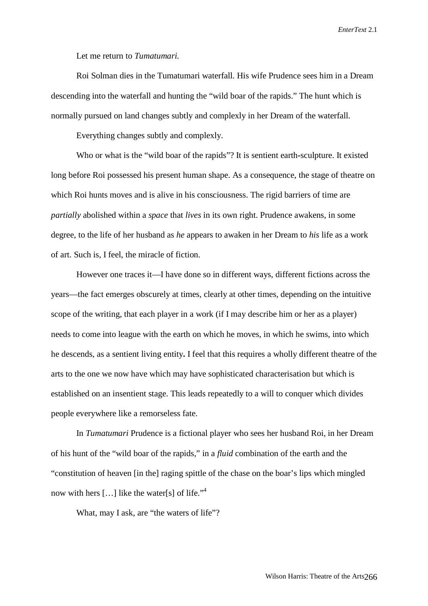Let me return to *Tumatumari.*

Roi Solman dies in the Tumatumari waterfall. His wife Prudence sees him in a Dream descending into the waterfall and hunting the "wild boar of the rapids." The hunt which is normally pursued on land changes subtly and complexly in her Dream of the waterfall.

Everything changes subtly and complexly.

Who or what is the "wild boar of the rapids"? It is sentient earth**-**sculpture. It existed long before Roi possessed his present human shape. As a consequence, the stage of theatre on which Roi hunts moves and is alive in his consciousness. The rigid barriers of time are *partially* abolished within a *space* that *lives* in its own right. Prudence awakens, in some degree, to the life of her husband as *he* appears to awaken in her Dream to *his* life as a work of art. Such is, I feel, the miracle of fiction.

However one traces it—I have done so in different ways, different fictions across the years—the fact emerges obscurely at times, clearly at other times, depending on the intuitive scope of the writing, that each player in a work (if I may describe him or her as a player) needs to come into league with the earth on which he moves, in which he swims, into which he descends, as a sentient living entity**.** I feel that this requires a wholly different theatre of the arts to the one we now have which may have sophisticated characterisation but which is established on an insentient stage. This leads repeatedly to a will to conquer which divides people everywhere like a remorseless fate.

In *Tumatumari* Prudence is a fictional player who sees her husband Roi, in her Dream of his hunt of the "wild boar of the rapids," in a *fluid* combination of the earth and the "constitution of heaven [in the] raging spittle of the chase on the boar's lips which mingled now with hers  $[...]$  like the water[s] of life."<sup>4</sup>

What, may I ask, are "the waters of life"?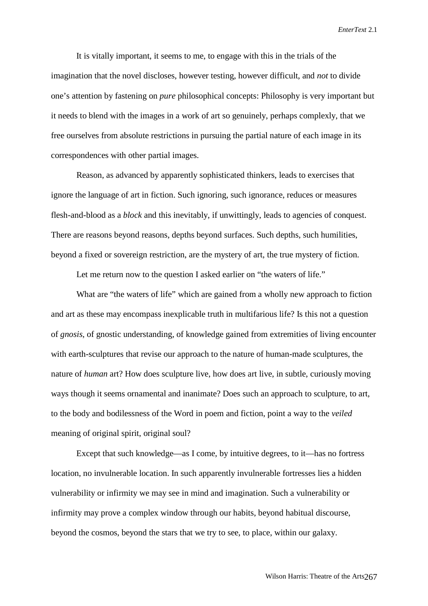It is vitally important, it seems to me, to engage with this in the trials of the imagination that the novel discloses, however testing, however difficult, and *not* to divide one's attention by fastening on *pure* philosophical concepts: Philosophy is very important but it needs to blend with the images in a work of art so genuinely, perhaps complexly, that we free ourselves from absolute restrictions in pursuing the partial nature of each image in its correspondences with other partial images.

Reason, as advanced by apparently sophisticated thinkers, leads to exercises that ignore the language of art in fiction. Such ignoring, such ignorance, reduces or measures flesh-and-blood as a *block* and this inevitably, if unwittingly, leads to agencies of conquest. There are reasons beyond reasons, depths beyond surfaces. Such depths, such humilities, beyond a fixed or sovereign restriction, are the mystery of art, the true mystery of fiction.

Let me return now to the question I asked earlier on "the waters of life."

What are "the waters of life" which are gained from a wholly new approach to fiction and art as these may encompass inexplicable truth in multifarious life? Is this not a question of *gnosis*, of gnostic understanding, of knowledge gained from extremities of living encounter with earth-sculptures that revise our approach to the nature of human-made sculptures, the nature of *human* art? How does sculpture live, how does art live, in subtle, curiously moving ways though it seems ornamental and inanimate? Does such an approach to sculpture, to art, to the body and bodilessness of the Word in poem and fiction, point a way to the *veiled* meaning of original spirit, original soul?

Except that such knowledge—as I come, by intuitive degrees, to it—has no fortress location, no invulnerable location. In such apparently invulnerable fortresses lies a hidden vulnerability or infirmity we may see in mind and imagination. Such a vulnerability or infirmity may prove a complex window through our habits, beyond habitual discourse, beyond the cosmos, beyond the stars that we try to see, to place, within our galaxy.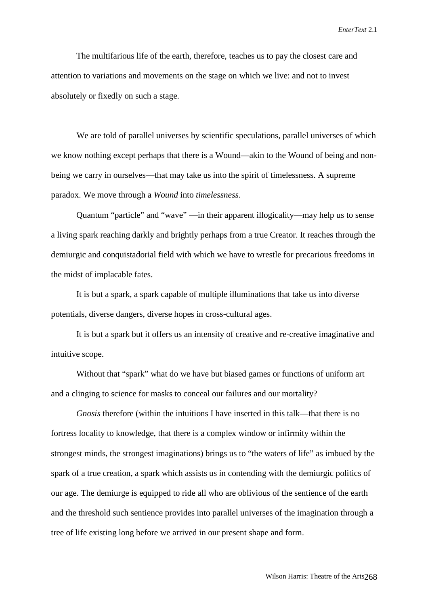The multifarious life of the earth, therefore, teaches us to pay the closest care and attention to variations and movements on the stage on which we live: and not to invest absolutely or fixedly on such a stage.

We are told of parallel universes by scientific speculations, parallel universes of which we know nothing except perhaps that there is a Wound—akin to the Wound of being and nonbeing we carry in ourselves—that may take us into the spirit of timelessness. A supreme paradox. We move through a *Wound* into *timelessness*.

Quantum "particle" and "wave" —in their apparent illogicality—may help us to sense a living spark reaching darkly and brightly perhaps from a true Creator. It reaches through the demiurgic and conquistadorial field with which we have to wrestle for precarious freedoms in the midst of implacable fates.

It is but a spark, a spark capable of multiple illuminations that take us into diverse potentials, diverse dangers, diverse hopes in cross-cultural ages.

It is but a spark but it offers us an intensity of creative and re-creative imaginative and intuitive scope.

Without that "spark" what do we have but biased games or functions of uniform art and a clinging to science for masks to conceal our failures and our mortality?

*Gnosis* therefore (within the intuitions I have inserted in this talk—that there is no fortress locality to knowledge, that there is a complex window or infirmity within the strongest minds, the strongest imaginations) brings us to "the waters of life" as imbued by the spark of a true creation, a spark which assists us in contending with the demiurgic politics of our age. The demiurge is equipped to ride all who are oblivious of the sentience of the earth and the threshold such sentience provides into parallel universes of the imagination through a tree of life existing long before we arrived in our present shape and form.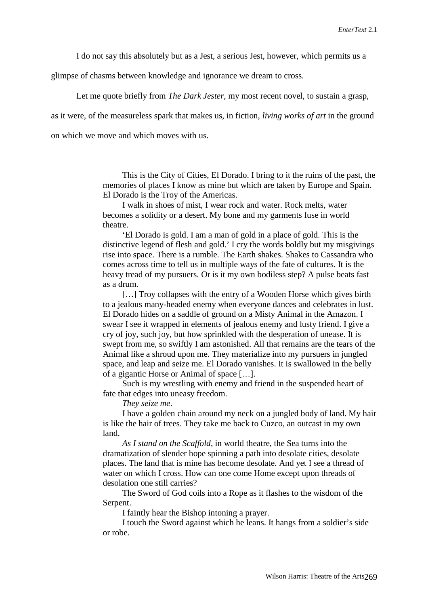I do not say this absolutely but as a Jest, a serious Jest, however, which permits us a

glimpse of chasms between knowledge and ignorance we dream to cross.

Let me quote briefly from *The Dark Jester*, my most recent novel, to sustain a grasp,

as it were, of the measureless spark that makes us, in fiction, *living works of art* in the ground

on which we move and which moves with us.

This is the City of Cities, El Dorado. I bring to it the ruins of the past, the memories of places I know as mine but which are taken by Europe and Spain. El Dorado is the Troy of the Americas.

I walk in shoes of mist, I wear rock and water. Rock melts, water becomes a solidity or a desert. My bone and my garments fuse in world theatre.

'El Dorado is gold. I am a man of gold in a place of gold. This is the distinctive legend of flesh and gold.' I cry the words boldly but my misgivings rise into space. There is a rumble. The Earth shakes. Shakes to Cassandra who comes across time to tell us in multiple ways of the fate of cultures. It is the heavy tread of my pursuers. Or is it my own bodiless step? A pulse beats fast as a drum.

[...] Troy collapses with the entry of a Wooden Horse which gives birth to a jealous many-headed enemy when everyone dances and celebrates in lust. El Dorado hides on a saddle of ground on a Misty Animal in the Amazon. I swear I see it wrapped in elements of jealous enemy and lusty friend. I give a cry of joy, such joy, but how sprinkled with the desperation of unease. It is swept from me, so swiftly I am astonished. All that remains are the tears of the Animal like a shroud upon me. They materialize into my pursuers in jungled space, and leap and seize me. El Dorado vanishes. It is swallowed in the belly of a gigantic Horse or Animal of space […].

Such is my wrestling with enemy and friend in the suspended heart of fate that edges into uneasy freedom.

*They seize me*.

I have a golden chain around my neck on a jungled body of land. My hair is like the hair of trees. They take me back to Cuzco, an outcast in my own land.

*As I stand on the Scaffold*, in world theatre, the Sea turns into the dramatization of slender hope spinning a path into desolate cities, desolate places. The land that is mine has become desolate. And yet I see a thread of water on which I cross. How can one come Home except upon threads of desolation one still carries?

The Sword of God coils into a Rope as it flashes to the wisdom of the Serpent.

I faintly hear the Bishop intoning a prayer.

I touch the Sword against which he leans. It hangs from a soldier's side or robe.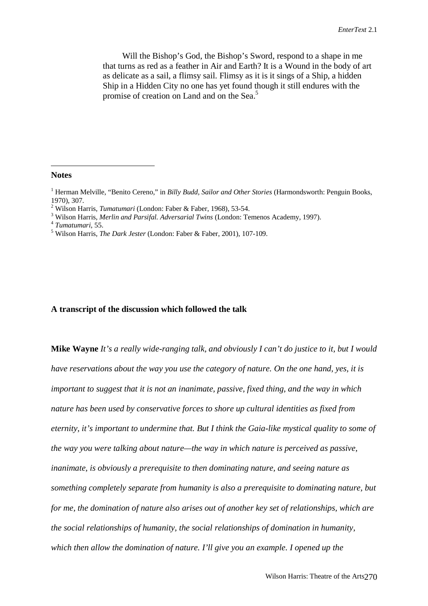Will the Bishop's God, the Bishop's Sword, respond to a shape in me that turns as red as a feather in Air and Earth? It is a Wound in the body of art as delicate as a sail, a flimsy sail. Flimsy as it is it sings of a Ship, a hidden Ship in a Hidden City no one has yet found though it still endures with the promise of creation on Land and on the Sea.<sup>5</sup>

**Notes**

<sup>3</sup> Wilson Harris, *Merlin and Parsifal. Adversarial Twins* (London: Temenos Academy, 1997).<br><sup>4</sup> *Tumatumari*, 55.

## **A transcript of the discussion which followed the talk**

**Mike Wayne** *It's a really wide-ranging talk, and obviously I can't do justice to it, but I would have reservations about the way you use the category of nature. On the one hand, yes, it is important to suggest that it is not an inanimate, passive, fixed thing, and the way in which nature has been used by conservative forces to shore up cultural identities as fixed from eternity, it's important to undermine that. But I think the Gaia-like mystical quality to some of the way you were talking about nature—the way in which nature is perceived as passive, inanimate, is obviously a prerequisite to then dominating nature, and seeing nature as something completely separate from humanity is also a prerequisite to dominating nature, but for me, the domination of nature also arises out of another key set of relationships, which are the social relationships of humanity, the social relationships of domination in humanity, which then allow the domination of nature. I'll give you an example. I opened up the*

<sup>&</sup>lt;sup>1</sup> Herman Melville, "Benito Cereno," in *Billy Budd, Sailor and Other Stories* (Harmondsworth: Penguin Books, 1970), 307.

<sup>&</sup>lt;sup>2</sup> Wilson Harris, *Tumatumari* (London: Faber & Faber, 1968), 53-54.<br><sup>3</sup> Wilson Harris, *Marlin and Parsifol, Advantagil Twins* (London: Te

Wilson Harris, *The Dark Jester* (London: Faber & Faber, 2001), 107-109.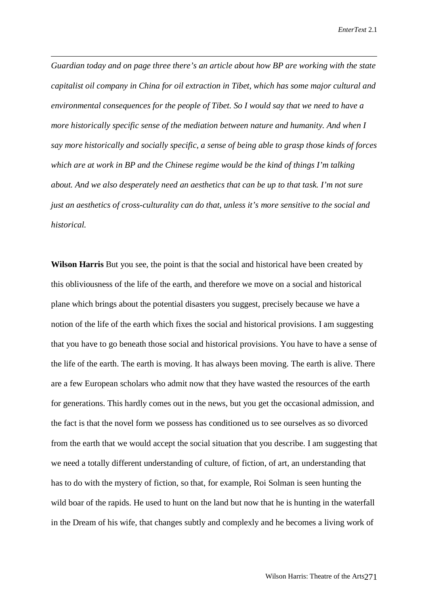*Guardian today and on page three there's an article about how BP are working with the state capitalist oil company in China for oil extraction in Tibet, which has some major cultural and environmental consequences for the people of Tibet. So I would say that we need to have a more historically specific sense of the mediation between nature and humanity. And when I say more historically and socially specific, a sense of being able to grasp those kinds of forces which are at work in BP and the Chinese regime would be the kind of things I'm talking about. And we also desperately need an aesthetics that can be up to that task. I'm not sure just an aesthetics of cross-culturality can do that, unless it's more sensitive to the social and historical.*

**Wilson Harris** But you see, the point is that the social and historical have been created by this obliviousness of the life of the earth, and therefore we move on a social and historical plane which brings about the potential disasters you suggest, precisely because we have a notion of the life of the earth which fixes the social and historical provisions. I am suggesting that you have to go beneath those social and historical provisions. You have to have a sense of the life of the earth. The earth is moving. It has always been moving. The earth is alive. There are a few European scholars who admit now that they have wasted the resources of the earth for generations. This hardly comes out in the news, but you get the occasional admission, and the fact is that the novel form we possess has conditioned us to see ourselves as so divorced from the earth that we would accept the social situation that you describe. I am suggesting that we need a totally different understanding of culture, of fiction, of art, an understanding that has to do with the mystery of fiction, so that, for example, Roi Solman is seen hunting the wild boar of the rapids. He used to hunt on the land but now that he is hunting in the waterfall in the Dream of his wife, that changes subtly and complexly and he becomes a living work of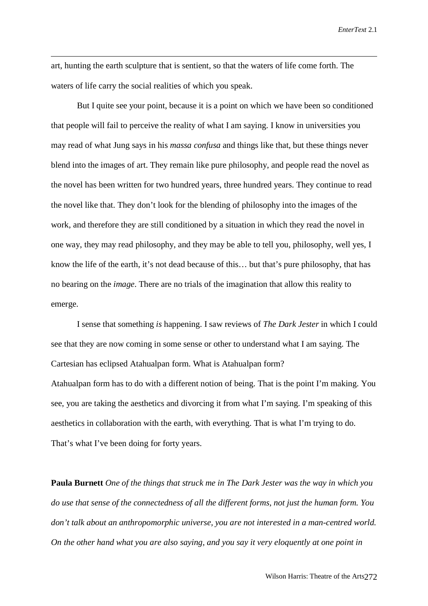art, hunting the earth sculpture that is sentient, so that the waters of life come forth. The waters of life carry the social realities of which you speak.

But I quite see your point, because it is a point on which we have been so conditioned that people will fail to perceive the reality of what I am saying. I know in universities you may read of what Jung says in his *massa confusa* and things like that, but these things never blend into the images of art. They remain like pure philosophy, and people read the novel as the novel has been written for two hundred years, three hundred years. They continue to read the novel like that. They don't look for the blending of philosophy into the images of the work, and therefore they are still conditioned by a situation in which they read the novel in one way, they may read philosophy, and they may be able to tell you, philosophy, well yes, I know the life of the earth, it's not dead because of this… but that's pure philosophy, that has no bearing on the *image*. There are no trials of the imagination that allow this reality to emerge.

I sense that something *is* happening. I saw reviews of *The Dark Jester* in which I could see that they are now coming in some sense or other to understand what I am saying. The Cartesian has eclipsed Atahualpan form. What is Atahualpan form? Atahualpan form has to do with a different notion of being. That is the point I'm making. You see, you are taking the aesthetics and divorcing it from what I'm saying. I'm speaking of this aesthetics in collaboration with the earth, with everything. That is what I'm trying to do. That's what I've been doing for forty years.

**Paula Burnett** *One of the things that struck me in The Dark Jester was the way in which you do use that sense of the connectedness of all the different forms, not just the human form. You don't talk about an anthropomorphic universe, you are not interested in a man-centred world. On the other hand what you are also saying, and you say it very eloquently at one point in*

Wilson Harris: Theatre of the Arts 272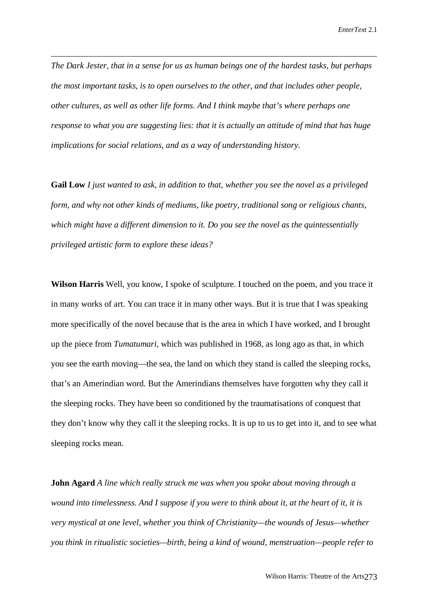*The Dark Jester, that in a sense for us as human beings one of the hardest tasks, but perhaps the most important tasks, is to open ourselves to the other, and that includes other people, other cultures, as well as other life forms. And I think maybe that's where perhaps one response to what you are suggesting lies: that it is actually an attitude of mind that has huge implications for social relations, and as a way of understanding history.*

**Gail Low** *I just wanted to ask, in addition to that, whether you see the novel as a privileged form, and why not other kinds of mediums, like poetry, traditional song or religious chants, which might have a different dimension to it. Do you see the novel as the quintessentially privileged artistic form to explore these ideas?*

**Wilson Harris** Well, you know, I spoke of sculpture. I touched on the poem, and you trace it in many works of art. You can trace it in many other ways. But it is true that I was speaking more specifically of the novel because that is the area in which I have worked, and I brought up the piece from *Tumatumari,* which was published in 1968, as long ago as that, in which you see the earth moving—the sea, the land on which they stand is called the sleeping rocks, that's an Amerindian word. But the Amerindians themselves have forgotten why they call it the sleeping rocks. They have been so conditioned by the traumatisations of conquest that they don't know why they call it the sleeping rocks. It is up to us to get into it, and to see what sleeping rocks mean.

**John Agard** *A line which really struck me was when you spoke about moving through a wound into timelessness. And I suppose if you were to think about it, at the heart of it, it is very mystical at one level, whether you think of Christianity—the wounds of Jesus—whether you think in ritualistic societies—birth, being a kind of wound, menstruation—people refer to*